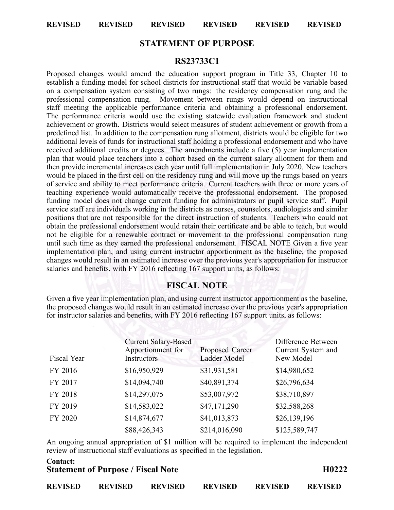**REVISED REVISED REVISED REVISED REVISED REVISED**

## **STATEMENT OF PURPOSE**

## **RS23733C1**

Proposed changes would amend the education suppor<sup>t</sup> program in Title 33, Chapter 10 to establish <sup>a</sup> funding model for school districts for instructional staff that would be variable based on <sup>a</sup> compensation system consisting of two rungs: the residency compensation rung and the professional compensation rung. Movement between rungs would depend on instructional staff meeting the applicable performance criteria and obtaining <sup>a</sup> professional endorsement. The performance criteria would use the existing statewide evaluation framework and student achievement or growth. Districts would select measures of student achievement or growth from <sup>a</sup> predefined list. In addition to the compensation rung allotment, districts would be eligible for two additional levels of funds for instructional staff holding <sup>a</sup> professional endorsement and who have received additional credits or degrees. The amendments include <sup>a</sup> five (5) year implementation plan that would place teachers into <sup>a</sup> cohort based on the current salary allotment for them and then provide incremental increases each year until full implementation in July 2020. New teachers would be placed in the first cell on the residency rung and will move up the rungs based on years of service and ability to meet performance criteria. Current teachers with three or more years of teaching experience would automatically receive the professional endorsement. The proposed funding model does not change current funding for administrators or pupil service staff. Pupil service staff are individuals working in the districts as nurses, counselors, audiologists and similar positions that are not responsible for the direct instruction of students. Teachers who could not obtain the professional endorsement would retain their certificate and be able to teach, but would not be eligible for <sup>a</sup> renewable contract or movement to the professional compensation rung until such time as they earned the professional endorsement. FISCAL NOTE Given <sup>a</sup> five year implementation plan, and using current instructor apportionment as the baseline, the proposed changes would result in an estimated increase over the previous year's appropriation for instructor salaries and benefits, with FY 2016 reflecting 167 suppor<sup>t</sup> units, as follows:

## **FISCAL NOTE**

Given <sup>a</sup> five year implementation plan, and using current instructor apportionment as the baseline, the proposed changes would result in an estimated increase over the previous year's appropriation for instructor salaries and benefits, with FY 2016 reflecting 167 suppor<sup>t</sup> units, as follows:

| Fiscal Year | <b>Current Salary-Based</b><br>Apportionment for<br>Instructors | Proposed Career<br>Ladder Model | Difference Between<br>Current System and<br>New Model |
|-------------|-----------------------------------------------------------------|---------------------------------|-------------------------------------------------------|
| FY 2016     | \$16,950,929                                                    | \$31,931,581                    | \$14,980,652                                          |
| FY 2017     | \$14,094,740                                                    | \$40,891,374                    | \$26,796,634                                          |
| FY 2018     | \$14,297,075                                                    | \$53,007,972                    | \$38,710,897                                          |
| FY 2019     | \$14,583,022                                                    | \$47,171,290                    | \$32,588,268                                          |
| FY 2020     | \$14,874,677                                                    | \$41,013,873                    | \$26,139,196                                          |
|             | \$88,426,343                                                    | \$214,016,090                   | \$125,589,747                                         |

An ongoing annual appropriation of \$1 million will be required to implement the independent review of instructional staff evaluations as specified in the legislation.

| Contact:<br><b>Statement of Purpose / Fiscal Note</b> |                |                |                |                |                |
|-------------------------------------------------------|----------------|----------------|----------------|----------------|----------------|
| <b>REVISED</b>                                        | <b>REVISED</b> | <b>REVISED</b> | <b>REVISED</b> | <b>REVISED</b> | <b>REVISED</b> |